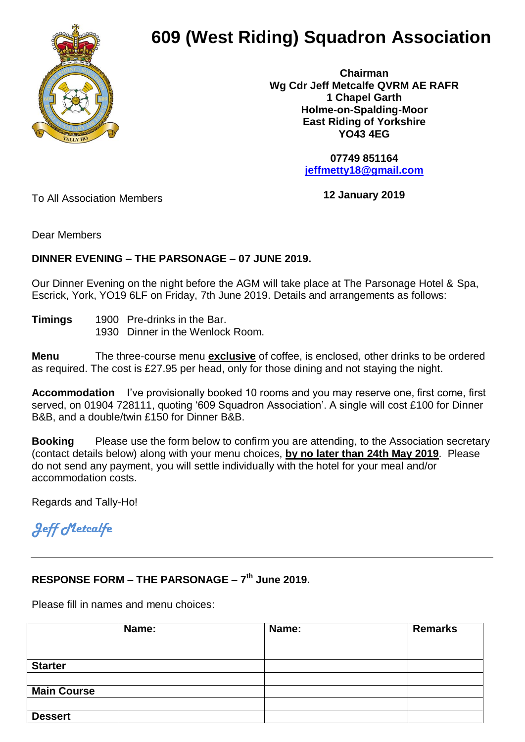

## **609 (West Riding) Squadron Association**

 **Chairman Wg Cdr Jeff Metcalfe QVRM AE RAFR 1 Chapel Garth Holme-on-Spalding-Moor East Riding of Yorkshire YO43 4EG**

> **07749 851164 [jeffmetty18@gmail.com](mailto:jeffmetty18@gmail.com)**

To All Association Members

**12 January 2019**

Dear Members

## **DINNER EVENING – THE PARSONAGE – 07 JUNE 2019.**

Our Dinner Evening on the night before the AGM will take place at The Parsonage Hotel & Spa, Escrick, York, YO19 6LF on Friday, 7th June 2019. Details and arrangements as follows:

**Timings** 1900 Pre-drinks in the Bar. 1930 Dinner in the Wenlock Room.

**Menu** The three-course menu **exclusive** of coffee, is enclosed, other drinks to be ordered as required. The cost is £27.95 per head, only for those dining and not staying the night.

**Accommodation** I've provisionally booked 10 rooms and you may reserve one, first come, first served, on 01904 728111, quoting '609 Squadron Association'. A single will cost £100 for Dinner B&B, and a double/twin £150 for Dinner B&B.

**Booking** Please use the form below to confirm you are attending, to the Association secretary (contact details below) along with your menu choices, **by no later than 24th May 2019**. Please do not send any payment, you will settle individually with the hotel for your meal and/or accommodation costs.

Regards and Tally-Ho!

## *Jeff Metcalfe*

## **RESPONSE FORM – THE PARSONAGE – 7 th June 2019.**

Please fill in names and menu choices:

|                    | Name: | Name: | <b>Remarks</b> |
|--------------------|-------|-------|----------------|
|                    |       |       |                |
|                    |       |       |                |
| <b>Starter</b>     |       |       |                |
|                    |       |       |                |
| <b>Main Course</b> |       |       |                |
|                    |       |       |                |
| <b>Dessert</b>     |       |       |                |